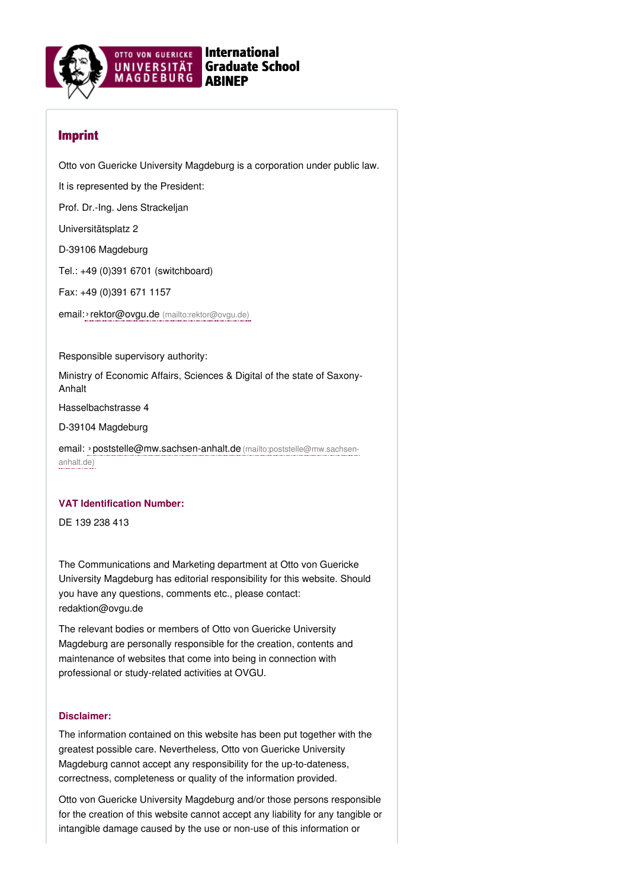

## International Graduate School ABINEP

# Imprint

Otto von Guericke University Magdeburg is a corporation under public law.

It is represented by the President:

Prof. Dr.-Ing. Jens Strackeljan

Universitätsplatz 2

D-39106 Magdeburg

Tel.: +49 (0)391 6701 (switchboard)

Fax: +49 (0)391 671 1157

email:›rektor@ovgu.de [\(mailto:rektor@ovgu.de\)](mailto:rektor@ovgu.de)

Responsible supervisory authority:

Ministry of Economic Affairs, Sciences & Digital of the state of Saxony-Anhalt

Hasselbachstrasse 4

D-39104 Magdeburg

email: ›[poststelle@mw.sachsen-anhalt.de](mailto:poststelle@mw.sachsen-anhalt.de) (mailto:poststelle@mw.sachsenanhalt.de)

## **VAT Identification Number:**

DE 139 238 413

The Communications and Marketing department at Otto von Guericke University Magdeburg has editorial responsibility for this website. Should you have any questions, comments etc., please contact: redaktion@ovgu.de

The relevant bodies or members of Otto von Guericke University Magdeburg are personally responsible for the creation, contents and maintenance of websites that come into being in connection with professional or study-related activities at OVGU.

## **Disclaimer:**

The information contained on this website has been put together with the greatest possible care. Nevertheless, Otto von Guericke University Magdeburg cannot accept any responsibility for the up-to-dateness, correctness, completeness or quality of the information provided.

Otto von Guericke University Magdeburg and/or those persons responsible for the creation of this website cannot accept any liability for any tangible or intangible damage caused by the use or non-use of this information or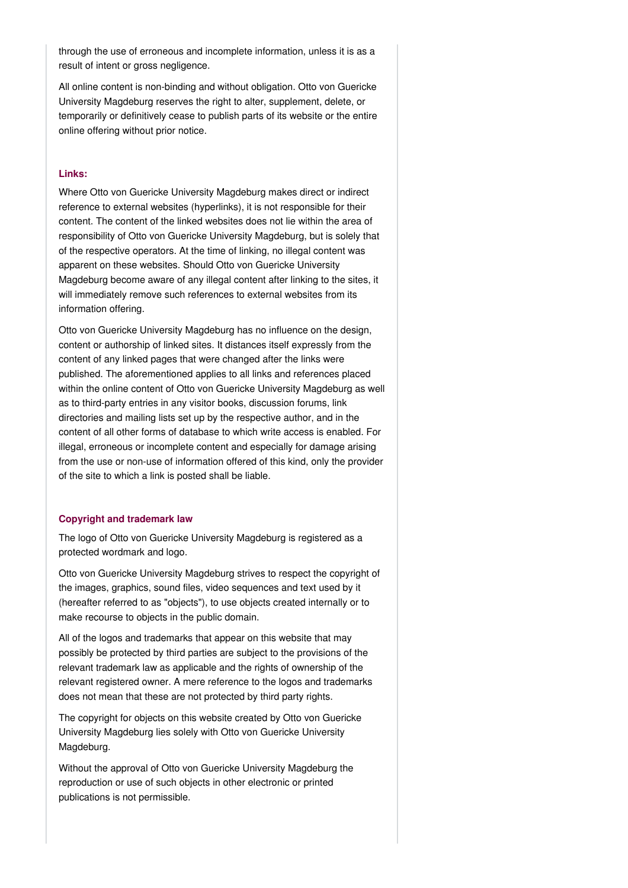through the use of erroneous and incomplete information, unless it is as a result of intent or gross negligence.

All online content is non-binding and without obligation. Otto von Guericke University Magdeburg reserves the right to alter, supplement, delete, or temporarily or definitively cease to publish parts of its website or the entire online offering without prior notice.

### **Links:**

Where Otto von Guericke University Magdeburg makes direct or indirect reference to external websites (hyperlinks), it is not responsible for their content. The content of the linked websites does not lie within the area of responsibility of Otto von Guericke University Magdeburg, but is solely that of the respective operators. At the time of linking, no illegal content was apparent on these websites. Should Otto von Guericke University Magdeburg become aware of any illegal content after linking to the sites, it will immediately remove such references to external websites from its information offering.

Otto von Guericke University Magdeburg has no influence on the design, content or authorship of linked sites. It distances itself expressly from the content of any linked pages that were changed after the links were published. The aforementioned applies to all links and references placed within the online content of Otto von Guericke University Magdeburg as well as to third-party entries in any visitor books, discussion forums, link directories and mailing lists set up by the respective author, and in the content of all other forms of database to which write access is enabled. For illegal, erroneous or incomplete content and especially for damage arising from the use or non-use of information offered of this kind, only the provider of the site to which a link is posted shall be liable.

#### **Copyright and trademark law**

The logo of Otto von Guericke University Magdeburg is registered as a protected wordmark and logo.

Otto von Guericke University Magdeburg strives to respect the copyright of the images, graphics, sound files, video sequences and text used by it (hereafter referred to as "objects"), to use objects created internally or to make recourse to objects in the public domain.

All of the logos and trademarks that appear on this website that may possibly be protected by third parties are subject to the provisions of the relevant trademark law as applicable and the rights of ownership of the relevant registered owner. A mere reference to the logos and trademarks does not mean that these are not protected by third party rights.

The copyright for objects on this website created by Otto von Guericke University Magdeburg lies solely with Otto von Guericke University Magdeburg.

Without the approval of Otto von Guericke University Magdeburg the reproduction or use of such objects in other electronic or printed publications is not permissible.